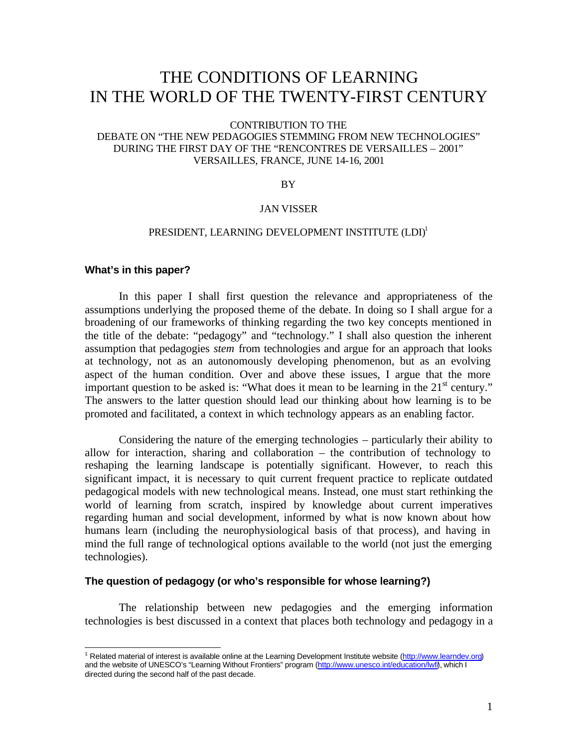# THE CONDITIONS OF LEARNING IN THE WORLD OF THE TWENTY-FIRST CENTURY

#### CONTRIBUTION TO THE

# DEBATE ON "THE NEW PEDAGOGIES STEMMING FROM NEW TECHNOLOGIES" DURING THE FIRST DAY OF THE "RENCONTRES DE VERSAILLES – 2001" VERSAILLES, FRANCE, JUNE 14-16, 2001

#### BY

#### JAN VISSER

# PRESIDENT, LEARNING DEVELOPMENT INSTITUTE (LDI)<sup>1</sup>

## **What's in this paper?**

 $\overline{a}$ 

In this paper I shall first question the relevance and appropriateness of the assumptions underlying the proposed theme of the debate. In doing so I shall argue for a broadening of our frameworks of thinking regarding the two key concepts mentioned in the title of the debate: "pedagogy" and "technology." I shall also question the inherent assumption that pedagogies *stem* from technologies and argue for an approach that looks at technology, not as an autonomously developing phenomenon, but as an evolving aspect of the human condition. Over and above these issues, I argue that the more important question to be asked is: "What does it mean to be learning in the 21<sup>st</sup> century." The answers to the latter question should lead our thinking about how learning is to be promoted and facilitated, a context in which technology appears as an enabling factor.

Considering the nature of the emerging technologies – particularly their ability to allow for interaction, sharing and collaboration – the contribution of technology to reshaping the learning landscape is potentially significant. However, to reach this significant impact, it is necessary to quit current frequent practice to replicate outdated pedagogical models with new technological means. Instead, one must start rethinking the world of learning from scratch, inspired by knowledge about current imperatives regarding human and social development, informed by what is now known about how humans learn (including the neurophysiological basis of that process), and having in mind the full range of technological options available to the world (not just the emerging technologies).

# **The question of pedagogy (or who's responsible for whose learning?)**

The relationship between new pedagogies and the emerging information technologies is best discussed in a context that places both technology and pedagogy in a

<sup>&</sup>lt;sup>1</sup> Related material of interest is available online at the Learning Development Institute website (http://www.learndev.org) and the website of UNESCO's "Learning Without Frontiers" program (http://www.unesco.int/education/lwf/), which I directed during the second half of the past decade.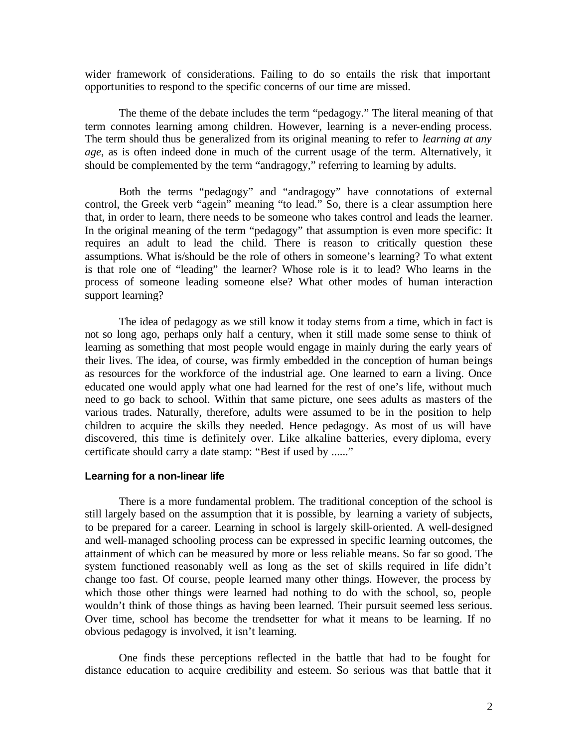wider framework of considerations. Failing to do so entails the risk that important opportunities to respond to the specific concerns of our time are missed.

The theme of the debate includes the term "pedagogy." The literal meaning of that term connotes learning among children. However, learning is a never-ending process. The term should thus be generalized from its original meaning to refer to *learning at any age*, as is often indeed done in much of the current usage of the term. Alternatively, it should be complemented by the term "andragogy," referring to learning by adults.

Both the terms "pedagogy" and "andragogy" have connotations of external control, the Greek verb "agein" meaning "to lead." So, there is a clear assumption here that, in order to learn, there needs to be someone who takes control and leads the learner. In the original meaning of the term "pedagogy" that assumption is even more specific: It requires an adult to lead the child. There is reason to critically question these assumptions. What is/should be the role of others in someone's learning? To what extent is that role one of "leading" the learner? Whose role is it to lead? Who learns in the process of someone leading someone else? What other modes of human interaction support learning?

The idea of pedagogy as we still know it today stems from a time, which in fact is not so long ago, perhaps only half a century, when it still made some sense to think of learning as something that most people would engage in mainly during the early years of their lives. The idea, of course, was firmly embedded in the conception of human beings as resources for the workforce of the industrial age. One learned to earn a living. Once educated one would apply what one had learned for the rest of one's life, without much need to go back to school. Within that same picture, one sees adults as masters of the various trades. Naturally, therefore, adults were assumed to be in the position to help children to acquire the skills they needed. Hence pedagogy. As most of us will have discovered, this time is definitely over. Like alkaline batteries, every diploma, every certificate should carry a date stamp: "Best if used by ......"

#### **Learning for a non-linear life**

There is a more fundamental problem. The traditional conception of the school is still largely based on the assumption that it is possible, by learning a variety of subjects, to be prepared for a career. Learning in school is largely skill-oriented. A well-designed and well-managed schooling process can be expressed in specific learning outcomes, the attainment of which can be measured by more or less reliable means. So far so good. The system functioned reasonably well as long as the set of skills required in life didn't change too fast. Of course, people learned many other things. However, the process by which those other things were learned had nothing to do with the school, so, people wouldn't think of those things as having been learned. Their pursuit seemed less serious. Over time, school has become the trendsetter for what it means to be learning. If no obvious pedagogy is involved, it isn't learning.

One finds these perceptions reflected in the battle that had to be fought for distance education to acquire credibility and esteem. So serious was that battle that it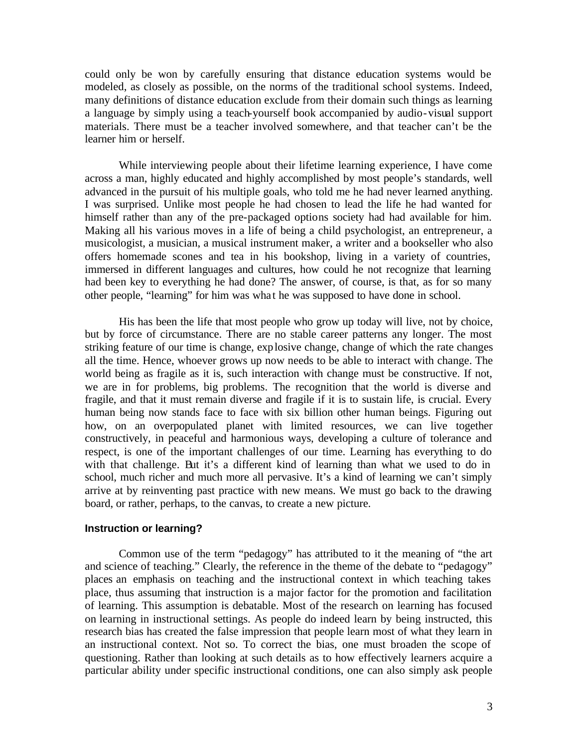could only be won by carefully ensuring that distance education systems would be modeled, as closely as possible, on the norms of the traditional school systems. Indeed, many definitions of distance education exclude from their domain such things as learning a language by simply using a teach-yourself book accompanied by audio-visual support materials. There must be a teacher involved somewhere, and that teacher can't be the learner him or herself.

While interviewing people about their lifetime learning experience, I have come across a man, highly educated and highly accomplished by most people's standards, well advanced in the pursuit of his multiple goals, who told me he had never learned anything. I was surprised. Unlike most people he had chosen to lead the life he had wanted for himself rather than any of the pre-packaged options society had had available for him. Making all his various moves in a life of being a child psychologist, an entrepreneur, a musicologist, a musician, a musical instrument maker, a writer and a bookseller who also offers homemade scones and tea in his bookshop, living in a variety of countries, immersed in different languages and cultures, how could he not recognize that learning had been key to everything he had done? The answer, of course, is that, as for so many other people, "learning" for him was wha t he was supposed to have done in school.

His has been the life that most people who grow up today will live, not by choice, but by force of circumstance. There are no stable career patterns any longer. The most striking feature of our time is change, explosive change, change of which the rate changes all the time. Hence, whoever grows up now needs to be able to interact with change. The world being as fragile as it is, such interaction with change must be constructive. If not, we are in for problems, big problems. The recognition that the world is diverse and fragile, and that it must remain diverse and fragile if it is to sustain life, is crucial. Every human being now stands face to face with six billion other human beings. Figuring out how, on an overpopulated planet with limited resources, we can live together constructively, in peaceful and harmonious ways, developing a culture of tolerance and respect, is one of the important challenges of our time. Learning has everything to do with that challenge. But it's a different kind of learning than what we used to do in school, much richer and much more all pervasive. It's a kind of learning we can't simply arrive at by reinventing past practice with new means. We must go back to the drawing board, or rather, perhaps, to the canvas, to create a new picture.

## **Instruction or learning?**

Common use of the term "pedagogy" has attributed to it the meaning of "the art and science of teaching." Clearly, the reference in the theme of the debate to "pedagogy" places an emphasis on teaching and the instructional context in which teaching takes place, thus assuming that instruction is a major factor for the promotion and facilitation of learning. This assumption is debatable. Most of the research on learning has focused on learning in instructional settings. As people do indeed learn by being instructed, this research bias has created the false impression that people learn most of what they learn in an instructional context. Not so. To correct the bias, one must broaden the scope of questioning. Rather than looking at such details as to how effectively learners acquire a particular ability under specific instructional conditions, one can also simply ask people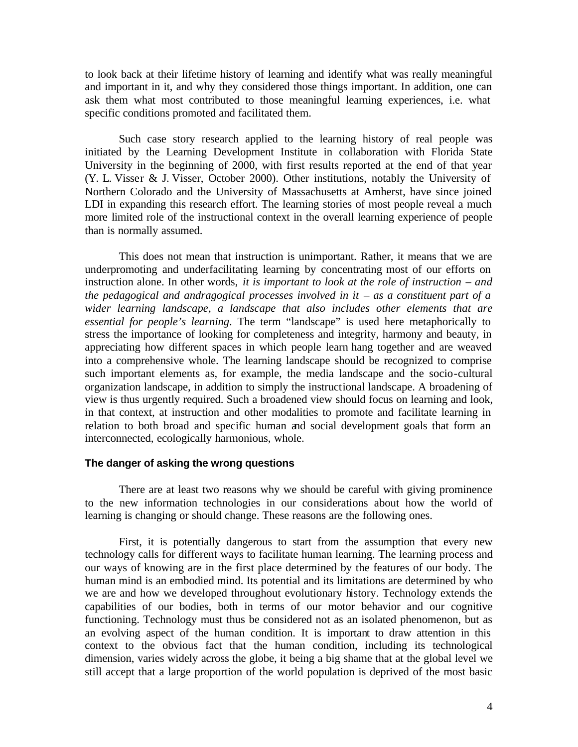to look back at their lifetime history of learning and identify what was really meaningful and important in it, and why they considered those things important. In addition, one can ask them what most contributed to those meaningful learning experiences, i.e. what specific conditions promoted and facilitated them.

Such case story research applied to the learning history of real people was initiated by the Learning Development Institute in collaboration with Florida State University in the beginning of 2000, with first results reported at the end of that year (Y. L. Visser & J. Visser, October 2000). Other institutions, notably the University of Northern Colorado and the University of Massachusetts at Amherst, have since joined LDI in expanding this research effort. The learning stories of most people reveal a much more limited role of the instructional context in the overall learning experience of people than is normally assumed.

This does not mean that instruction is unimportant. Rather, it means that we are underpromoting and underfacilitating learning by concentrating most of our efforts on instruction alone. In other words, *it is important to look at the role of instruction – and the pedagogical and andragogical processes involved in it – as a constituent part of a wider learning landscape, a landscape that also includes other elements that are essential for people's learning*. The term "landscape" is used here metaphorically to stress the importance of looking for completeness and integrity, harmony and beauty, in appreciating how different spaces in which people learn hang together and are weaved into a comprehensive whole. The learning landscape should be recognized to comprise such important elements as, for example, the media landscape and the socio-cultural organization landscape, in addition to simply the instructional landscape. A broadening of view is thus urgently required. Such a broadened view should focus on learning and look, in that context, at instruction and other modalities to promote and facilitate learning in relation to both broad and specific human and social development goals that form an interconnected, ecologically harmonious, whole.

## **The danger of asking the wrong questions**

There are at least two reasons why we should be careful with giving prominence to the new information technologies in our considerations about how the world of learning is changing or should change. These reasons are the following ones.

First, it is potentially dangerous to start from the assumption that every new technology calls for different ways to facilitate human learning. The learning process and our ways of knowing are in the first place determined by the features of our body. The human mind is an embodied mind. Its potential and its limitations are determined by who we are and how we developed throughout evolutionary history. Technology extends the capabilities of our bodies, both in terms of our motor behavior and our cognitive functioning. Technology must thus be considered not as an isolated phenomenon, but as an evolving aspect of the human condition. It is important to draw attention in this context to the obvious fact that the human condition, including its technological dimension, varies widely across the globe, it being a big shame that at the global level we still accept that a large proportion of the world population is deprived of the most basic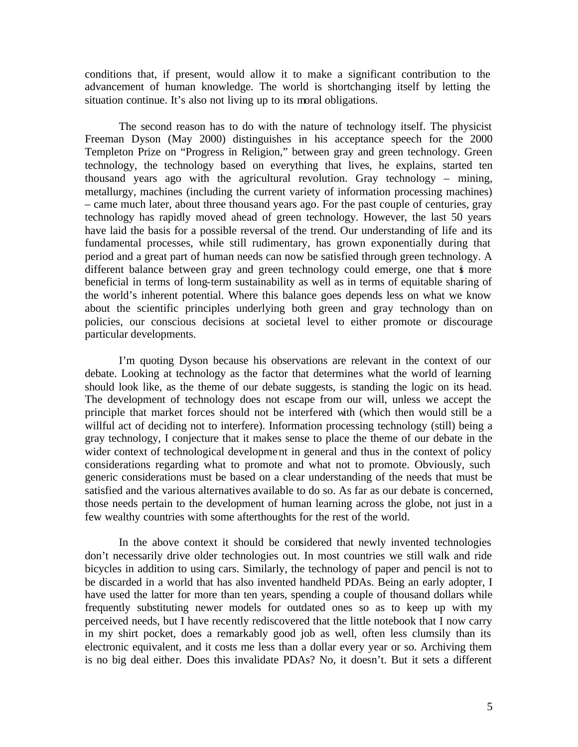conditions that, if present, would allow it to make a significant contribution to the advancement of human knowledge. The world is shortchanging itself by letting the situation continue. It's also not living up to its moral obligations.

The second reason has to do with the nature of technology itself. The physicist Freeman Dyson (May 2000) distinguishes in his acceptance speech for the 2000 Templeton Prize on "Progress in Religion," between gray and green technology. Green technology, the technology based on everything that lives, he explains, started ten thousand years ago with the agricultural revolution. Gray technology – mining, metallurgy, machines (including the current variety of information processing machines) – came much later, about three thousand years ago. For the past couple of centuries, gray technology has rapidly moved ahead of green technology. However, the last 50 years have laid the basis for a possible reversal of the trend. Our understanding of life and its fundamental processes, while still rudimentary, has grown exponentially during that period and a great part of human needs can now be satisfied through green technology. A different balance between gray and green technology could emerge, one that is more beneficial in terms of long-term sustainability as well as in terms of equitable sharing of the world's inherent potential. Where this balance goes depends less on what we know about the scientific principles underlying both green and gray technology than on policies, our conscious decisions at societal level to either promote or discourage particular developments.

I'm quoting Dyson because his observations are relevant in the context of our debate. Looking at technology as the factor that determines what the world of learning should look like, as the theme of our debate suggests, is standing the logic on its head. The development of technology does not escape from our will, unless we accept the principle that market forces should not be interfered with (which then would still be a willful act of deciding not to interfere). Information processing technology (still) being a gray technology, I conjecture that it makes sense to place the theme of our debate in the wider context of technological development in general and thus in the context of policy considerations regarding what to promote and what not to promote. Obviously, such generic considerations must be based on a clear understanding of the needs that must be satisfied and the various alternatives available to do so. As far as our debate is concerned, those needs pertain to the development of human learning across the globe, not just in a few wealthy countries with some afterthoughts for the rest of the world.

In the above context it should be considered that newly invented technologies don't necessarily drive older technologies out. In most countries we still walk and ride bicycles in addition to using cars. Similarly, the technology of paper and pencil is not to be discarded in a world that has also invented handheld PDAs. Being an early adopter, I have used the latter for more than ten years, spending a couple of thousand dollars while frequently substituting newer models for outdated ones so as to keep up with my perceived needs, but I have recently rediscovered that the little notebook that I now carry in my shirt pocket, does a remarkably good job as well, often less clumsily than its electronic equivalent, and it costs me less than a dollar every year or so. Archiving them is no big deal either. Does this invalidate PDAs? No, it doesn't. But it sets a different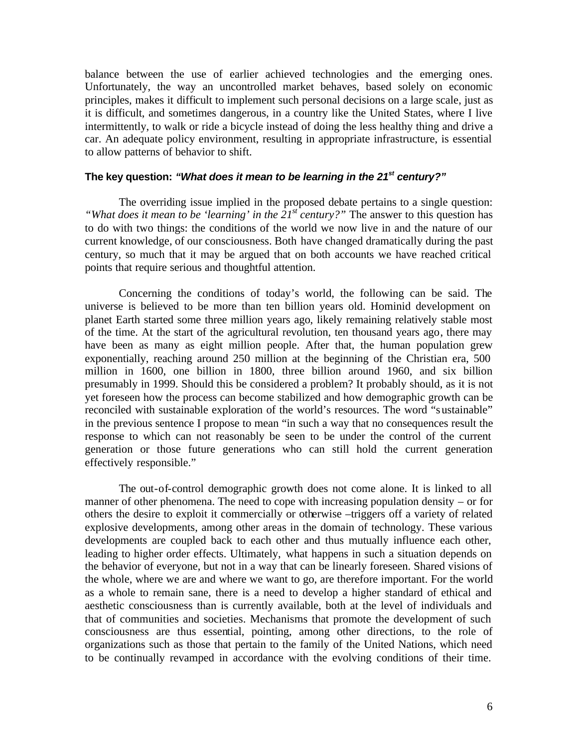balance between the use of earlier achieved technologies and the emerging ones. Unfortunately, the way an uncontrolled market behaves, based solely on economic principles, makes it difficult to implement such personal decisions on a large scale, just as it is difficult, and sometimes dangerous, in a country like the United States, where I live intermittently, to walk or ride a bicycle instead of doing the less healthy thing and drive a car. An adequate policy environment, resulting in appropriate infrastructure, is essential to allow patterns of behavior to shift.

# **The key question:** *"What does it mean to be learning in the 21st century?"*

The overriding issue implied in the proposed debate pertains to a single question: *"What does it mean to be 'learning' in the 21st century?"* The answer to this question has to do with two things: the conditions of the world we now live in and the nature of our current knowledge, of our consciousness. Both have changed dramatically during the past century, so much that it may be argued that on both accounts we have reached critical points that require serious and thoughtful attention.

Concerning the conditions of today's world, the following can be said. The universe is believed to be more than ten billion years old. Hominid development on planet Earth started some three million years ago, likely remaining relatively stable most of the time. At the start of the agricultural revolution, ten thousand years ago, there may have been as many as eight million people. After that, the human population grew exponentially, reaching around 250 million at the beginning of the Christian era, 500 million in 1600, one billion in 1800, three billion around 1960, and six billion presumably in 1999. Should this be considered a problem? It probably should, as it is not yet foreseen how the process can become stabilized and how demographic growth can be reconciled with sustainable exploration of the world's resources. The word "sustainable" in the previous sentence I propose to mean "in such a way that no consequences result the response to which can not reasonably be seen to be under the control of the current generation or those future generations who can still hold the current generation effectively responsible."

The out-of-control demographic growth does not come alone. It is linked to all manner of other phenomena. The need to cope with increasing population density – or for others the desire to exploit it commercially or otherwise –triggers off a variety of related explosive developments, among other areas in the domain of technology. These various developments are coupled back to each other and thus mutually influence each other, leading to higher order effects. Ultimately, what happens in such a situation depends on the behavior of everyone, but not in a way that can be linearly foreseen. Shared visions of the whole, where we are and where we want to go, are therefore important. For the world as a whole to remain sane, there is a need to develop a higher standard of ethical and aesthetic consciousness than is currently available, both at the level of individuals and that of communities and societies. Mechanisms that promote the development of such consciousness are thus essential, pointing, among other directions, to the role of organizations such as those that pertain to the family of the United Nations, which need to be continually revamped in accordance with the evolving conditions of their time.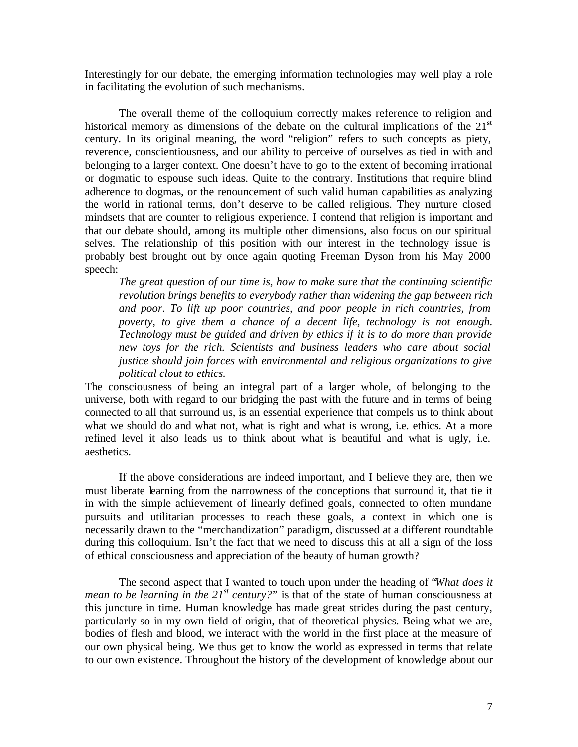Interestingly for our debate, the emerging information technologies may well play a role in facilitating the evolution of such mechanisms.

The overall theme of the colloquium correctly makes reference to religion and historical memory as dimensions of the debate on the cultural implications of the  $21<sup>st</sup>$ century. In its original meaning, the word "religion" refers to such concepts as piety, reverence, conscientiousness, and our ability to perceive of ourselves as tied in with and belonging to a larger context. One doesn't have to go to the extent of becoming irrational or dogmatic to espouse such ideas. Quite to the contrary. Institutions that require blind adherence to dogmas, or the renouncement of such valid human capabilities as analyzing the world in rational terms, don't deserve to be called religious. They nurture closed mindsets that are counter to religious experience. I contend that religion is important and that our debate should, among its multiple other dimensions, also focus on our spiritual selves. The relationship of this position with our interest in the technology issue is probably best brought out by once again quoting Freeman Dyson from his May 2000 speech:

*The great question of our time is, how to make sure that the continuing scientific revolution brings benefits to everybody rather than widening the gap between rich and poor. To lift up poor countries, and poor people in rich countries, from poverty, to give them a chance of a decent life, technology is not enough. Technology must be guided and driven by ethics if it is to do more than provide new toys for the rich. Scientists and business leaders who care about social justice should join forces with environmental and religious organizations to give political clout to ethics.*

The consciousness of being an integral part of a larger whole, of belonging to the universe, both with regard to our bridging the past with the future and in terms of being connected to all that surround us, is an essential experience that compels us to think about what we should do and what not, what is right and what is wrong, i.e. ethics. At a more refined level it also leads us to think about what is beautiful and what is ugly, i.e. aesthetics.

If the above considerations are indeed important, and I believe they are, then we must liberate learning from the narrowness of the conceptions that surround it, that tie it in with the simple achievement of linearly defined goals, connected to often mundane pursuits and utilitarian processes to reach these goals, a context in which one is necessarily drawn to the "merchandization" paradigm, discussed at a different roundtable during this colloquium. Isn't the fact that we need to discuss this at all a sign of the loss of ethical consciousness and appreciation of the beauty of human growth?

The second aspect that I wanted to touch upon under the heading of "*What does it mean to be learning in the 21<sup>st</sup> century?*" is that of the state of human consciousness at this juncture in time. Human knowledge has made great strides during the past century, particularly so in my own field of origin, that of theoretical physics. Being what we are, bodies of flesh and blood, we interact with the world in the first place at the measure of our own physical being. We thus get to know the world as expressed in terms that relate to our own existence. Throughout the history of the development of knowledge about our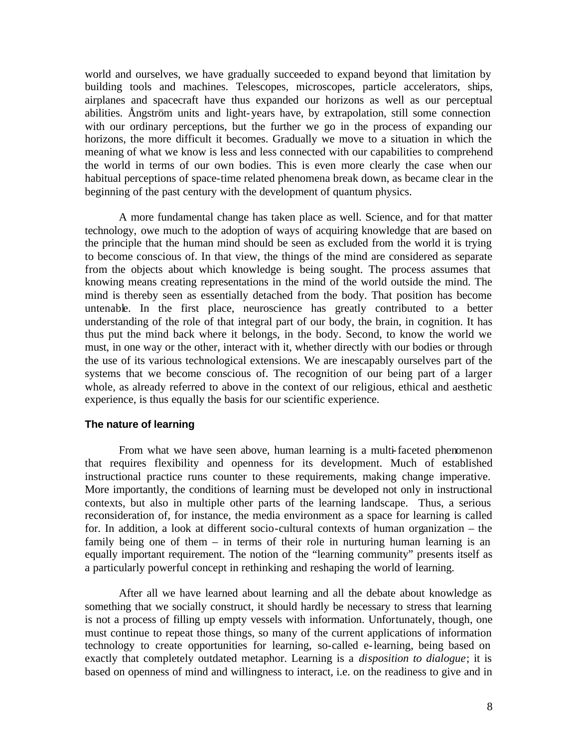world and ourselves, we have gradually succeeded to expand beyond that limitation by building tools and machines. Telescopes, microscopes, particle accelerators, ships, airplanes and spacecraft have thus expanded our horizons as well as our perceptual abilities. Ångström units and light-years have, by extrapolation, still some connection with our ordinary perceptions, but the further we go in the process of expanding our horizons, the more difficult it becomes. Gradually we move to a situation in which the meaning of what we know is less and less connected with our capabilities to comprehend the world in terms of our own bodies. This is even more clearly the case when our habitual perceptions of space-time related phenomena break down, as became clear in the beginning of the past century with the development of quantum physics.

A more fundamental change has taken place as well. Science, and for that matter technology, owe much to the adoption of ways of acquiring knowledge that are based on the principle that the human mind should be seen as excluded from the world it is trying to become conscious of. In that view, the things of the mind are considered as separate from the objects about which knowledge is being sought. The process assumes that knowing means creating representations in the mind of the world outside the mind. The mind is thereby seen as essentially detached from the body. That position has become untenable. In the first place, neuroscience has greatly contributed to a better understanding of the role of that integral part of our body, the brain, in cognition. It has thus put the mind back where it belongs, in the body. Second, to know the world we must, in one way or the other, interact with it, whether directly with our bodies or through the use of its various technological extensions. We are inescapably ourselves part of the systems that we become conscious of. The recognition of our being part of a larger whole, as already referred to above in the context of our religious, ethical and aesthetic experience, is thus equally the basis for our scientific experience.

## **The nature of learning**

From what we have seen above, human learning is a multi-faceted phenomenon that requires flexibility and openness for its development. Much of established instructional practice runs counter to these requirements, making change imperative. More importantly, the conditions of learning must be developed not only in instructional contexts, but also in multiple other parts of the learning landscape. Thus, a serious reconsideration of, for instance, the media environment as a space for learning is called for. In addition, a look at different socio-cultural contexts of human organization – the family being one of them – in terms of their role in nurturing human learning is an equally important requirement. The notion of the "learning community" presents itself as a particularly powerful concept in rethinking and reshaping the world of learning.

After all we have learned about learning and all the debate about knowledge as something that we socially construct, it should hardly be necessary to stress that learning is not a process of filling up empty vessels with information. Unfortunately, though, one must continue to repeat those things, so many of the current applications of information technology to create opportunities for learning, so-called e-learning, being based on exactly that completely outdated metaphor. Learning is a *disposition to dialogue*; it is based on openness of mind and willingness to interact, i.e. on the readiness to give and in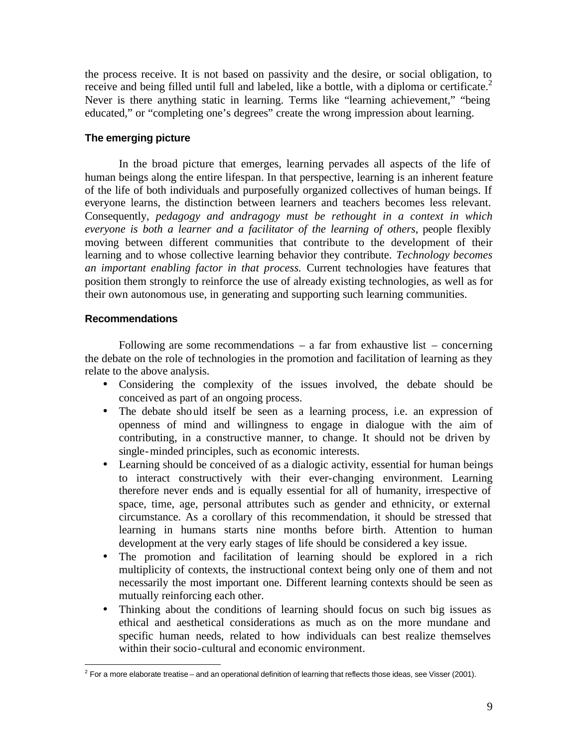the process receive. It is not based on passivity and the desire, or social obligation, to receive and being filled until full and labeled, like a bottle, with a diploma or certificate.<sup>2</sup> Never is there anything static in learning. Terms like "learning achievement," "being educated," or "completing one's degrees" create the wrong impression about learning.

# **The emerging picture**

In the broad picture that emerges, learning pervades all aspects of the life of human beings along the entire lifespan. In that perspective, learning is an inherent feature of the life of both individuals and purposefully organized collectives of human beings. If everyone learns, the distinction between learners and teachers becomes less relevant. Consequently, *pedagogy and andragogy must be rethought in a context in which everyone is both a learner and a facilitator of the learning of others*, people flexibly moving between different communities that contribute to the development of their learning and to whose collective learning behavior they contribute. *Technology becomes an important enabling factor in that process.* Current technologies have features that position them strongly to reinforce the use of already existing technologies, as well as for their own autonomous use, in generating and supporting such learning communities.

# **Recommendations**

Following are some recommendations  $-$  a far from exhaustive list  $-$  concerning the debate on the role of technologies in the promotion and facilitation of learning as they relate to the above analysis.

- Considering the complexity of the issues involved, the debate should be conceived as part of an ongoing process.
- The debate should itself be seen as a learning process, i.e. an expression of openness of mind and willingness to engage in dialogue with the aim of contributing, in a constructive manner, to change. It should not be driven by single-minded principles, such as economic interests.
- Learning should be conceived of as a dialogic activity, essential for human beings to interact constructively with their ever-changing environment. Learning therefore never ends and is equally essential for all of humanity, irrespective of space, time, age, personal attributes such as gender and ethnicity, or external circumstance. As a corollary of this recommendation, it should be stressed that learning in humans starts nine months before birth. Attention to human development at the very early stages of life should be considered a key issue.
- The promotion and facilitation of learning should be explored in a rich multiplicity of contexts, the instructional context being only one of them and not necessarily the most important one. Different learning contexts should be seen as mutually reinforcing each other.
- Thinking about the conditions of learning should focus on such big issues as ethical and aesthetical considerations as much as on the more mundane and specific human needs, related to how individuals can best realize themselves within their socio-cultural and economic environment.

 $\overline{a}$  $2$  For a more elaborate treatise – and an operational definition of learning that reflects those ideas, see Visser (2001).